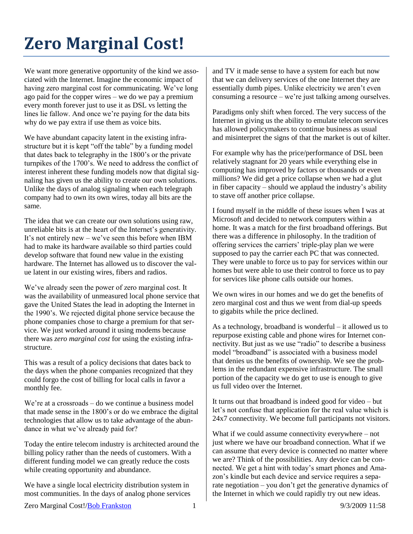## **Zero Marginal Cost!**

We want more generative opportunity of the kind we associated with the Internet. Imagine the economic impact of having zero marginal cost for communicating. We've long ago paid for the copper wires – we do we pay a premium every month forever just to use it as DSL vs letting the lines lie fallow. And once we're paying for the data bits why do we pay extra if use them as voice bits.

We have abundant capacity latent in the existing infrastructure but it is kept "off the table" by a funding model that dates back to telegraphy in the 1800's or the private turnpikes of the 1700's. We need to address the conflict of interest inherent these funding models now that digital signaling has given us the ability to create our own solutions. Unlike the days of analog signaling when each telegraph company had to own its own wires, today all bits are the same.

The idea that we can create our own solutions using raw, unreliable bits is at the heart of the Internet's generativity. It's not entirely new – we've seen this before when IBM had to make its hardware available so third parties could develop software that found new value in the existing hardware. The Internet has allowed us to discover the value latent in our existing wires, fibers and radios.

We've already seen the power of zero marginal cost. It was the availability of unmeasured local phone service that gave the United States the lead in adopting the Internet in the 1990's. We rejected digital phone service because the phone companies chose to charge a premium for that service. We just worked around it using modems because there was *zero marginal cost* for using the existing infrastructure.

This was a result of a policy decisions that dates back to the days when the phone companies recognized that they could forgo the cost of billing for local calls in favor a monthly fee.

We're at a crossroads – do we continue a business model that made sense in the 1800's or do we embrace the digital technologies that allow us to take advantage of the abundance in what we've already paid for?

Today the entire telecom industry is architected around the billing policy rather than the needs of customers. With a different funding model we can greatly reduce the costs while creating opportunity and abundance.

We have a single local electricity distribution system in most communities. In the days of analog phone services and TV it made sense to have a system for each but now that we can delivery services of the one Internet they are essentially dumb pipes. Unlike electricity we aren't even consuming a resource – we're just talking among ourselves.

Paradigms only shift when forced. The very success of the Internet in giving us the ability to emulate telecom services has allowed policymakers to continue business as usual and misinterpret the signs of that the market is out of kilter.

For example why has the price/performance of DSL been relatively stagnant for 20 years while everything else in computing has improved by factors or thousands or even millions? We did get a price collapse when we had a glut in fiber capacity – should we applaud the industry's ability to stave off another price collapse.

I found myself in the middle of these issues when I was at Microsoft and decided to network computers within a home. It was a match for the first broadband offerings. But there was a difference in philosophy. In the tradition of offering services the carriers' triple-play plan we were supposed to pay the carrier each PC that was connected. They were unable to force us to pay for services within our homes but were able to use their control to force us to pay for services like phone calls outside our homes.

We own wires in our homes and we do get the benefits of zero marginal cost and thus we went from dial-up speeds to gigabits while the price declined.

As a technology, broadband is wonderful – it allowed us to repurpose existing cable and phone wires for Internet connectivity. But just as we use "radio" to describe a business model "broadband" is associated with a business model that denies us the benefits of ownership. We see the problems in the redundant expensive infrastructure. The small portion of the capacity we do get to use is enough to give us full video over the Internet.

It turns out that broadband is indeed good for video – but let's not confuse that application for the real value which is 24x7 connectivity. We become full participants not visitors.

What if we could assume connectivity everywhere – not just where we have our broadband connection. What if we can assume that every device is connected no matter where we are? Think of the possibilities. Any device can be connected. We get a hint with today's smart phones and Amazon's kindle but each device and service requires a separate negotiation – you don't get the generative dynamics of the Internet in which we could rapidly try out new ideas.